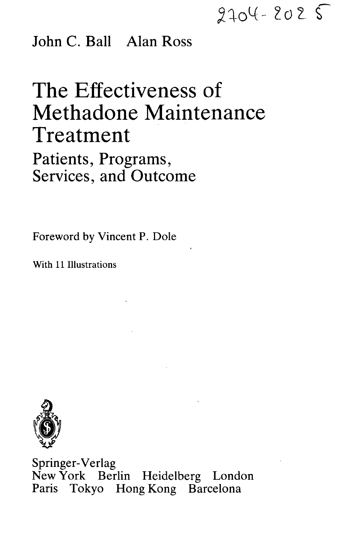$2204 - 2025$ 

## John C. Ball Alan Ross

## The Effectiveness of Methadone Maintenance Treatment

Patients, Programs, Services, and Outcome

Foreword by Vincent P. Dole

With 11 Illustrations



Springer-Verlag New York Berlin Heidelberg London Paris Tokyo Hong Kong Barcelona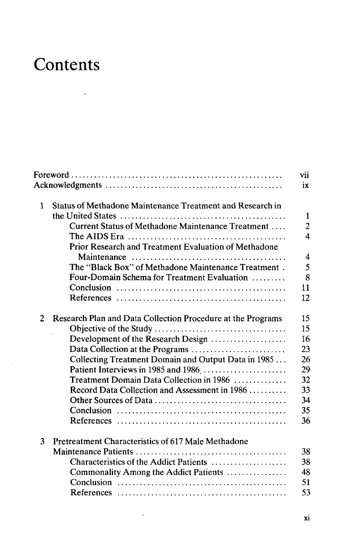## **Contents**

 $\mathcal{L}^{\text{max}}_{\text{max}}$  ,  $\mathcal{L}^{\text{max}}_{\text{max}}$ 

|                |                                                             | vii<br>ix      |
|----------------|-------------------------------------------------------------|----------------|
|                |                                                             |                |
| 1              | Status of Methadone Maintenance Treatment and Research in   |                |
|                |                                                             | $\mathbf{1}$   |
|                | Current Status of Methadone Maintenance Treatment           | $\overline{2}$ |
|                |                                                             | 4              |
|                | Prior Research and Treatment Evaluation of Methadone        |                |
|                |                                                             | 4              |
|                | The "Black Box" of Methadone Maintenance Treatment.         | 5              |
|                | Four-Domain Schema for Treatment Evaluation                 | 8              |
|                |                                                             | 11             |
|                |                                                             | 12             |
| $\overline{2}$ | Research Plan and Data Collection Procedure at the Programs | 15             |
|                |                                                             | 15             |
|                | Development of the Research Design                          | 16             |
|                | Data Collection at the Programs                             | 23             |
|                | Collecting Treatment Domain and Output Data in 1985         | 26             |
|                | Patient Interviews in 1985 and 1986                         | 29             |
|                | Treatment Domain Data Collection in 1986                    | 32             |
|                | Record Data Collection and Assessment in 1986               | 33             |
|                |                                                             | 34             |
|                |                                                             | 35             |
|                |                                                             | 36             |
| 3              | Pretreatment Characteristics of 617 Male Methadone          |                |
|                |                                                             | 38             |
|                | Characteristics of the Addict Patients                      | 38             |
|                | Commonality Among the Addict Patients                       | 48             |
|                |                                                             | 51             |
|                |                                                             | 53             |
|                |                                                             |                |

 $\epsilon$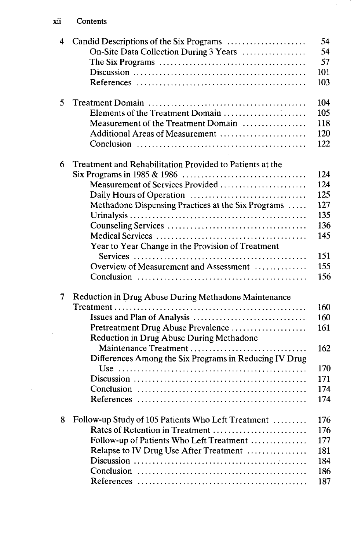$\sim 10^{-1}$ 

| 4 | On-Site Data Collection During 3 Years                            | 54<br>54 |
|---|-------------------------------------------------------------------|----------|
|   |                                                                   | 57       |
|   |                                                                   | 101      |
|   |                                                                   | 103      |
| 5 |                                                                   | 104      |
|   | Elements of the Treatment Domain                                  | 105      |
|   | Measurement of the Treatment Domain                               | 118      |
|   | Additional Areas of Measurement                                   | 120      |
|   |                                                                   | 122      |
| 6 | Treatment and Rehabilitation Provided to Patients at the          |          |
|   |                                                                   | 124      |
|   | Measurement of Services Provided                                  | 124      |
|   |                                                                   | 125      |
|   | Methadone Dispensing Practices at the Six Programs                | 127      |
|   |                                                                   | 135      |
|   |                                                                   | 136      |
|   |                                                                   | 145      |
|   | Year to Year Change in the Provision of Treatment                 | 151      |
|   | Overview of Measurement and Assessment                            | 155      |
|   |                                                                   | 156      |
| 7 | Reduction in Drug Abuse During Methadone Maintenance              |          |
|   |                                                                   | 160      |
|   |                                                                   | 160      |
|   | Pretreatment Drug Abuse Prevalence                                | 161      |
|   |                                                                   |          |
|   | Reduction in Drug Abuse During Methadone<br>Maintenance Treatment | 162      |
|   |                                                                   |          |
|   | Differences Among the Six Programs in Reducing IV Drug            | 170      |
|   |                                                                   |          |
|   |                                                                   | 171      |
|   |                                                                   | 174      |
|   |                                                                   | 174      |
| 8 | Follow-up Study of 105 Patients Who Left Treatment                | 176      |
|   | Rates of Retention in Treatment                                   | 176      |
|   | Follow-up of Patients Who Left Treatment                          | 177      |
|   | Relapse to IV Drug Use After Treatment                            | 181      |
|   |                                                                   | 184      |
|   |                                                                   | 186      |
|   |                                                                   | 187      |

 $\epsilon$